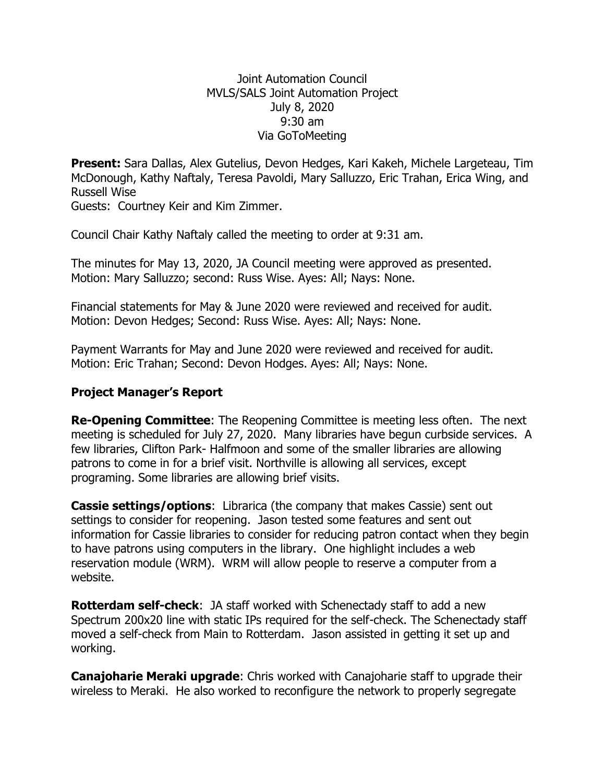## Joint Automation Council MVLS/SALS Joint Automation Project July 8, 2020 9:30 am Via GoToMeeting

**Present:** Sara Dallas, Alex Gutelius, Devon Hedges, Kari Kakeh, Michele Largeteau, Tim McDonough, Kathy Naftaly, Teresa Pavoldi, Mary Salluzzo, Eric Trahan, Erica Wing, and Russell Wise

Guests: Courtney Keir and Kim Zimmer.

Council Chair Kathy Naftaly called the meeting to order at 9:31 am.

The minutes for May 13, 2020, JA Council meeting were approved as presented. Motion: Mary Salluzzo; second: Russ Wise. Ayes: All; Nays: None.

Financial statements for May & June 2020 were reviewed and received for audit. Motion: Devon Hedges; Second: Russ Wise. Ayes: All; Nays: None.

Payment Warrants for May and June 2020 were reviewed and received for audit. Motion: Eric Trahan; Second: Devon Hodges. Ayes: All; Nays: None.

## **Project Manager's Report**

**Re-Opening Committee**: The Reopening Committee is meeting less often. The next meeting is scheduled for July 27, 2020. Many libraries have begun curbside services. A few libraries, Clifton Park- Halfmoon and some of the smaller libraries are allowing patrons to come in for a brief visit. Northville is allowing all services, except programing. Some libraries are allowing brief visits.

**Cassie settings/options**: Librarica (the company that makes Cassie) sent out settings to consider for reopening. Jason tested some features and sent out information for Cassie libraries to consider for reducing patron contact when they begin to have patrons using computers in the library. One highlight includes a web reservation module (WRM). WRM will allow people to reserve a computer from a website.

**Rotterdam self-check**: JA staff worked with Schenectady staff to add a new Spectrum 200x20 line with static IPs required for the self-check. The Schenectady staff moved a self-check from Main to Rotterdam. Jason assisted in getting it set up and working.

**Canajoharie Meraki upgrade**: Chris worked with Canajoharie staff to upgrade their wireless to Meraki. He also worked to reconfigure the network to properly segregate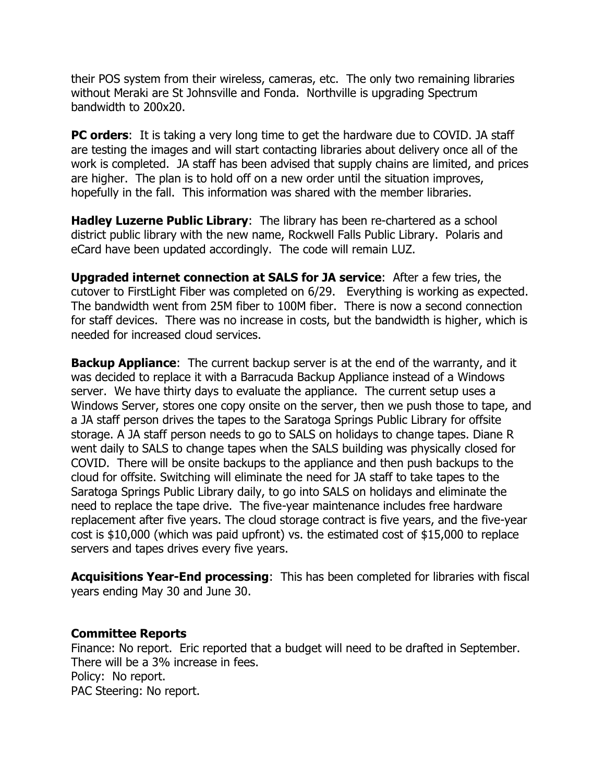their POS system from their wireless, cameras, etc. The only two remaining libraries without Meraki are St Johnsville and Fonda. Northville is upgrading Spectrum bandwidth to 200x20.

**PC orders**: It is taking a very long time to get the hardware due to COVID. JA staff are testing the images and will start contacting libraries about delivery once all of the work is completed. JA staff has been advised that supply chains are limited, and prices are higher. The plan is to hold off on a new order until the situation improves, hopefully in the fall. This information was shared with the member libraries.

**Hadley Luzerne Public Library**: The library has been re-chartered as a school district public library with the new name, Rockwell Falls Public Library. Polaris and eCard have been updated accordingly. The code will remain LUZ.

**Upgraded internet connection at SALS for JA service**: After a few tries, the cutover to FirstLight Fiber was completed on 6/29. Everything is working as expected. The bandwidth went from 25M fiber to 100M fiber. There is now a second connection for staff devices. There was no increase in costs, but the bandwidth is higher, which is needed for increased cloud services.

**Backup Appliance**: The current backup server is at the end of the warranty, and it was decided to replace it with a Barracuda Backup Appliance instead of a Windows server. We have thirty days to evaluate the appliance. The current setup uses a Windows Server, stores one copy onsite on the server, then we push those to tape, and a JA staff person drives the tapes to the Saratoga Springs Public Library for offsite storage. A JA staff person needs to go to SALS on holidays to change tapes. Diane R went daily to SALS to change tapes when the SALS building was physically closed for COVID. There will be onsite backups to the appliance and then push backups to the cloud for offsite. Switching will eliminate the need for JA staff to take tapes to the Saratoga Springs Public Library daily, to go into SALS on holidays and eliminate the need to replace the tape drive. The five-year maintenance includes free hardware replacement after five years. The cloud storage contract is five years, and the five-year cost is \$10,000 (which was paid upfront) vs. the estimated cost of \$15,000 to replace servers and tapes drives every five years.

**Acquisitions Year-End processing**: This has been completed for libraries with fiscal years ending May 30 and June 30.

## **Committee Reports**

Finance: No report. Eric reported that a budget will need to be drafted in September. There will be a 3% increase in fees. Policy: No report. PAC Steering: No report.